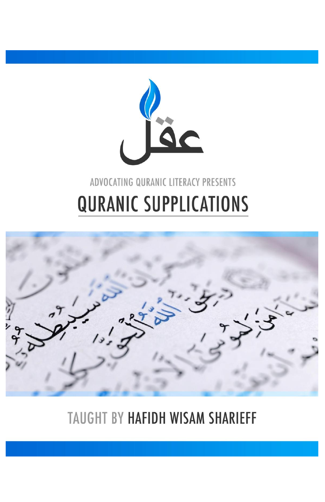

# ADVOCATING QURANIC LITERACY PRESENTS **QURANIC SUPPLICATIONS**



TAUGHT BY HAFIDH WISAM SHARIEFF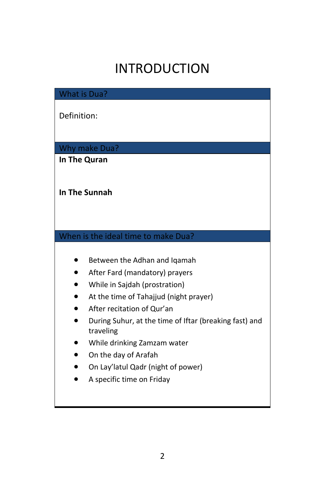## INTRODUCTION

What is Dua?

Definition:

Why make Dua?

**In The Quran**

#### **In The Sunnah**

#### When is the ideal time to make Dua?

- **•** Between the Adhan and Iqamah
- After Fard (mandatory) prayers
- While in Sajdah (prostration)
- At the time of Tahajjud (night prayer)
- After recitation of Qur'an
- During Suhur, at the time of Iftar (breaking fast) and traveling
- While drinking Zamzam water
- On the day of Arafah
- On Lay'latul Qadr (night of power)
- A specific time on Friday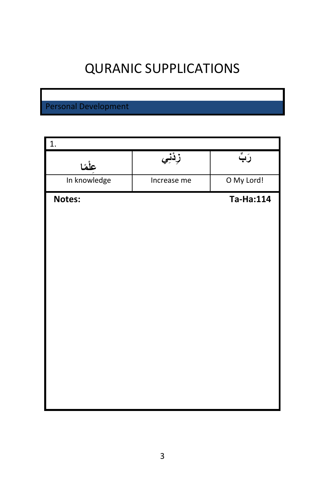### QURANIC SUPPLICATIONS

### Personal Development

| 1.           |             |            |
|--------------|-------------|------------|
| عِلْمًا      | زِدْنِي     | رَبِّ      |
| In knowledge | Increase me | O My Lord! |
| Notes:       |             | Ta-Ha:114  |
|              |             |            |
|              |             |            |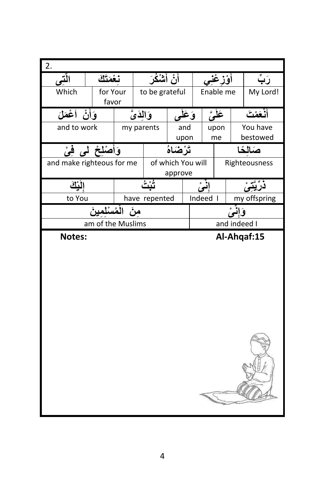| 2.                        |                                 |                |                              |           |            |              |                      |
|---------------------------|---------------------------------|----------------|------------------------------|-----------|------------|--------------|----------------------|
| التني                     | نغمتك                           | أَنْ أَشْكُرَ  |                              |           | أؤزغني     |              | رَبِّ                |
| Which                     | for Your                        | to be grateful |                              |           | Enable me  |              | My Lord!             |
|                           | favor                           |                |                              |           |            |              |                      |
| وَأَنْ أَعْمَ <i>لَ</i>   |                                 | وَالِدَيَّ     |                              | وَعَلَى   | عَلَىَّ    |              | أنْعَمْتَ            |
| and to work               |                                 | my parents     | and<br>upon                  |           | upon<br>me |              | You have<br>bestowed |
|                           | وَأَصْلِحْ لَمِي فِيْ           |                | تَرْضَاهُ                    |           |            |              | صَالْحًا             |
| and make righteous for me |                                 |                | of which You will<br>approve |           |            |              | Righteousness        |
| الْمِلْكَ                 |                                 |                |                              |           | إِنَىْ     |              |                      |
| to You                    |                                 | have repented  |                              |           | Indeed I   |              | my offspring         |
|                           | منَ الْمُسْلَمِينَ <sup>ّ</sup> |                |                              | وَإِنَّمْ |            |              |                      |
|                           | am of the Muslims               |                |                              |           |            | and indeed I |                      |
| Notes:                    |                                 |                |                              |           |            |              | Al-Ahqaf:15          |
|                           |                                 |                |                              |           |            |              |                      |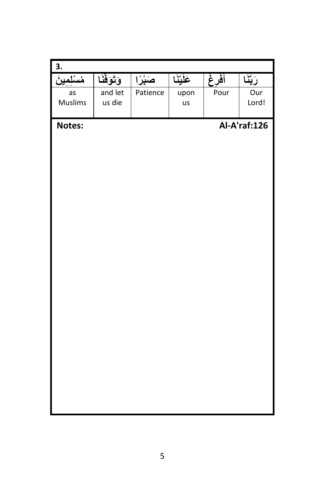| 3.      |              |          |           |      |              |
|---------|--------------|----------|-----------|------|--------------|
| مسلمير  | وَتَوَفَّنَا | صَبْرًا  | عَلَيْنَا | أفرغ | رَبَّنَا     |
| as      | and let      | Patience | upon      | Pour | Our          |
| Muslims | us die       |          | us        |      | Lord!        |
| Notes:  |              |          |           |      | Al-A'raf:126 |
|         |              |          |           |      |              |
|         |              |          |           |      |              |
|         |              |          |           |      |              |
|         |              |          |           |      |              |
|         |              |          |           |      |              |
|         |              |          |           |      |              |
|         |              |          |           |      |              |
|         |              |          |           |      |              |
|         |              |          |           |      |              |
|         |              |          |           |      |              |
|         |              |          |           |      |              |
|         |              |          |           |      |              |
|         |              |          |           |      |              |
|         |              |          |           |      |              |
|         |              |          |           |      |              |
|         |              |          |           |      |              |
|         |              |          |           |      |              |
|         |              |          |           |      |              |
|         |              |          |           |      |              |
|         |              |          |           |      |              |
|         |              |          |           |      |              |
|         |              |          |           |      |              |
|         |              |          |           |      |              |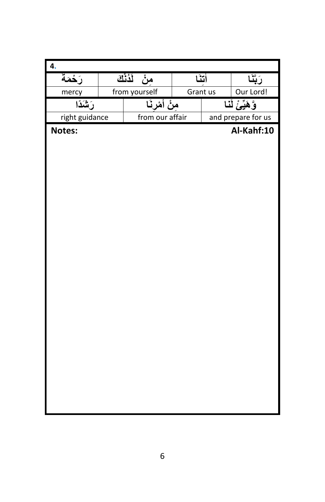| <sup>4</sup>   |                           |      |                  |                    |
|----------------|---------------------------|------|------------------|--------------------|
| رَحْمَةَ       | مِنْ لَذُنْكَ             | اتثآ |                  | رَبَّذَ            |
| mercy          | from yourself<br>Grant us |      |                  | Our Lord!          |
| رَشَدًا        | مِنْ أَمْرِنَـا           |      | وَّهَيِّئْ لَنَا |                    |
| right guidance | from our affair           |      |                  | and prepare for us |
| Notes:         |                           |      |                  | Al-Kahf:10         |
|                |                           |      |                  |                    |
|                |                           |      |                  |                    |
|                |                           |      |                  |                    |
|                |                           |      |                  |                    |
|                |                           |      |                  |                    |
|                |                           |      |                  |                    |
|                |                           |      |                  |                    |
|                |                           |      |                  |                    |
|                |                           |      |                  |                    |
|                |                           |      |                  |                    |
|                |                           |      |                  |                    |
|                |                           |      |                  |                    |
|                |                           |      |                  |                    |
|                |                           |      |                  |                    |
|                |                           |      |                  |                    |
|                |                           |      |                  |                    |
|                |                           |      |                  |                    |
|                |                           |      |                  |                    |
|                |                           |      |                  |                    |
|                |                           |      |                  |                    |
|                |                           |      |                  |                    |
|                |                           |      |                  |                    |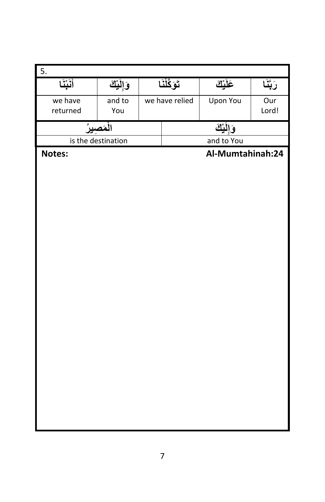| $\overline{5}$ . |                    |                |                  |          |  |  |
|------------------|--------------------|----------------|------------------|----------|--|--|
| أنَبْنَا         | وَإِلَيْكَ         | تَوَكَّلْنَا   | عَلَيْكَ         | رَبَّنَا |  |  |
| we have          | and to             | we have relied | Upon You         | Our      |  |  |
| returned         | You                |                |                  | Lord!    |  |  |
|                  | الْمَصِيرُ         | وَإِلَيْكَ     |                  |          |  |  |
|                  | is the destination | and to You     |                  |          |  |  |
| Notes:           |                    |                | Al-Mumtahinah:24 |          |  |  |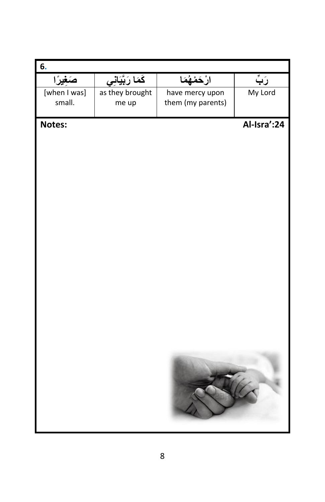| 6.              |                           |                   |             |
|-----------------|---------------------------|-------------------|-------------|
| <u>صَغِيرًا</u> | كَمَا رَب <u>ِّيَانِي</u> | ارْحَمْهُمَا      | رَبَّ       |
| [when I was]    | as they brought           | have mercy upon   | My Lord     |
| small.          | me up                     | them (my parents) |             |
| Notes:          |                           |                   | Al-Isra':24 |
|                 |                           |                   |             |
|                 |                           |                   |             |
|                 |                           |                   |             |
|                 |                           |                   |             |
|                 |                           |                   |             |
|                 |                           |                   |             |
|                 |                           |                   |             |
|                 |                           |                   |             |
|                 |                           |                   |             |
|                 |                           |                   |             |
|                 |                           |                   |             |
|                 |                           |                   |             |
|                 |                           |                   |             |
|                 |                           |                   |             |
|                 |                           |                   |             |
|                 |                           |                   |             |
|                 |                           |                   |             |
|                 |                           |                   |             |
|                 |                           |                   |             |
|                 |                           |                   |             |
|                 |                           |                   |             |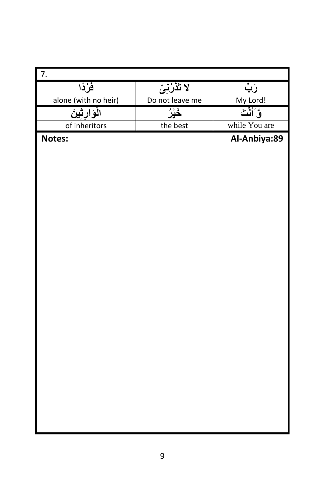| 7.                   |                 |               |
|----------------------|-----------------|---------------|
| فَرْدًا              | لا تَذَرْنِيْ   | رَبِّ         |
| alone (with no heir) | Do not leave me | My Lord!      |
| الْوَارِثِينَ        | ݩݧݫ             | وَأَنْتَ      |
| of inheritors        | the best        | while You are |
| Notes:               |                 | Al-Anbiya:89  |
|                      |                 |               |
|                      |                 |               |
|                      |                 |               |
|                      |                 |               |
|                      |                 |               |
|                      |                 |               |
|                      |                 |               |
|                      |                 |               |
|                      |                 |               |
|                      |                 |               |
|                      |                 |               |
|                      |                 |               |
|                      |                 |               |
|                      |                 |               |
|                      |                 |               |
|                      |                 |               |
|                      |                 |               |
|                      |                 |               |
|                      |                 |               |
|                      |                 |               |
|                      |                 |               |
|                      |                 |               |
|                      |                 |               |
|                      |                 |               |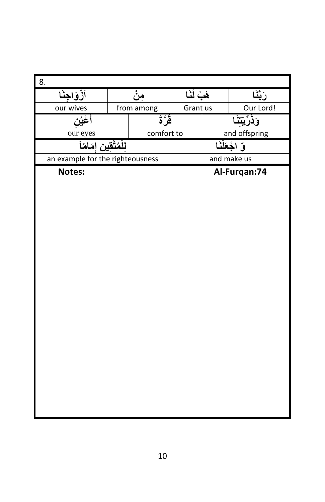| 8.                               |            |               |               |               |  |
|----------------------------------|------------|---------------|---------------|---------------|--|
| <u>اَزْوَاجِنَا</u>              | مِنْ       | هَبْ لَنَا    |               | رَبَّنَا      |  |
| our wives                        | from among | Grant us      |               | Our Lord!     |  |
| أغيُن                            | قَرَّةَ    |               | وَذَرِّيْتَذَ |               |  |
| our eyes                         | comfort to |               | and offspring |               |  |
| للْمُتَّقين إمَامًاَ             |            | قِ اجْعَلْنَا |               |               |  |
| an example for the righteousness |            |               |               | and make us   |  |
| Notes:                           |            |               |               | Al-Furqan: 74 |  |
|                                  |            |               |               |               |  |
|                                  |            |               |               |               |  |
|                                  |            |               |               |               |  |
|                                  |            |               |               |               |  |
|                                  |            |               |               |               |  |
|                                  |            |               |               |               |  |
|                                  |            |               |               |               |  |
|                                  |            |               |               |               |  |
|                                  |            |               |               |               |  |
|                                  |            |               |               |               |  |
|                                  |            |               |               |               |  |
|                                  |            |               |               |               |  |
|                                  |            |               |               |               |  |
|                                  |            |               |               |               |  |
|                                  |            |               |               |               |  |
|                                  |            |               |               |               |  |
|                                  |            |               |               |               |  |
|                                  |            |               |               |               |  |
|                                  |            |               |               |               |  |
|                                  |            |               |               |               |  |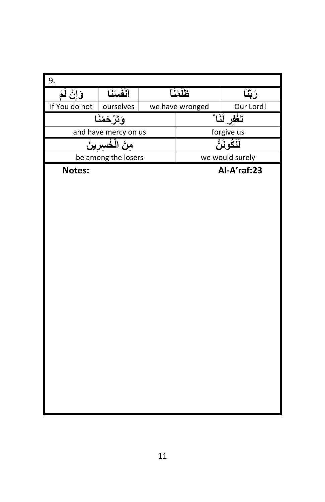| 9.                 |                      |                 |                 |
|--------------------|----------------------|-----------------|-----------------|
| <u>وَإِنْ لَمْ</u> | أَنْفُسَنَا          | ظَلَمْنَآ       | رَبَّذَ         |
| if You do not      | ourselves            | we have wronged | Our Lord!       |
|                    | وَتَرْحَمْنَا        |                 | تَغْفَر لَنَا ْ |
|                    | and have mercy on us |                 | forgive us      |
|                    | مِنَ الْخُسِرِينَ    |                 | لَنَكُونَنَّ    |
|                    | be among the losers  |                 | we would surely |
| Notes:             |                      |                 | Al-A'raf:23     |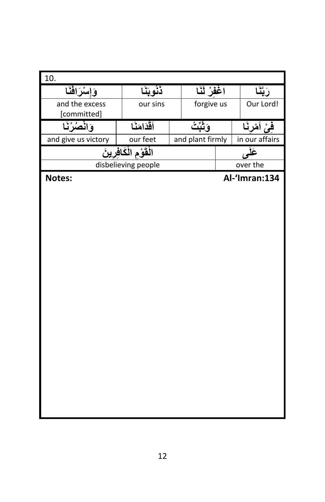| 10.                 |                         |                  |               |  |                |  |                |
|---------------------|-------------------------|------------------|---------------|--|----------------|--|----------------|
| وَإِسْرَافَنَا      | ذنُوبَنَا               |                  | اغْفُلْ لَنَا |  | رَبَّنَا       |  |                |
| and the excess      | our sins                |                  | forgive us    |  | Our Lord!      |  |                |
| [committed]         |                         |                  |               |  |                |  |                |
| وَانْصُرْنَا        | أقذامَنَا               | وَثَبَّتْ        |               |  |                |  | فِيْ أَمْرِنَا |
| and give us victory | our feet                | and plant firmly |               |  | in our affairs |  |                |
|                     | الْقَوْمِ الْكَافِرِينَ |                  |               |  | عَلَم          |  |                |
|                     | disbelieving people     |                  |               |  | over the       |  |                |
| Notes:              |                         |                  |               |  | Al-'Imran:134  |  |                |
|                     |                         |                  |               |  |                |  |                |
|                     |                         |                  |               |  |                |  |                |
|                     |                         |                  |               |  |                |  |                |
|                     |                         |                  |               |  |                |  |                |
|                     |                         |                  |               |  |                |  |                |
|                     |                         |                  |               |  |                |  |                |
|                     |                         |                  |               |  |                |  |                |
|                     |                         |                  |               |  |                |  |                |
|                     |                         |                  |               |  |                |  |                |
|                     |                         |                  |               |  |                |  |                |
|                     |                         |                  |               |  |                |  |                |
|                     |                         |                  |               |  |                |  |                |
|                     |                         |                  |               |  |                |  |                |
|                     |                         |                  |               |  |                |  |                |
|                     |                         |                  |               |  |                |  |                |
|                     |                         |                  |               |  |                |  |                |
|                     |                         |                  |               |  |                |  |                |
|                     |                         |                  |               |  |                |  |                |
|                     |                         |                  |               |  |                |  |                |
|                     |                         |                  |               |  |                |  |                |
|                     |                         |                  |               |  |                |  |                |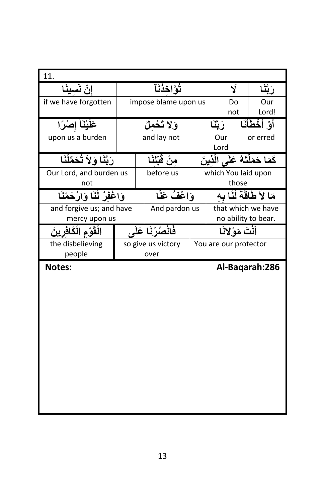| 11.                          |             |                      |                            |          |                |       |                                  |
|------------------------------|-------------|----------------------|----------------------------|----------|----------------|-------|----------------------------------|
| إنْ نَسينَا                  | تُؤَاخذُنَآ |                      |                            |          | Ý              |       | <u>َ بَدَ</u>                    |
| if we have forgotten         |             | impose blame upon us |                            |          | Do             |       | Our                              |
|                              |             |                      |                            |          | not            |       | Lord!                            |
| عَلَيْنَآ إصْرًا             |             | وَلا تَحْمَلْ        |                            | رَبَّنَا |                |       | أَوْ أَخْطَأَنَا                 |
| upon us a burden             |             | and lay not          |                            |          | Our            |       | or erred                         |
|                              |             |                      |                            |          | Lord           |       |                                  |
| رَبَّنَا وَلاَ تُحَمِّلْنَا  |             | منْ قَبْلَنَا        |                            |          |                |       | كَمَا حَمَلْتَهُ عَلَى الَّذِينَ |
| Our Lord, and burden us      |             | before us            |                            |          |                |       | which You laid upon              |
| not                          |             |                      |                            |          |                | those |                                  |
| وَاغْفِرْ لَنَا وَارْحَمْنَا |             | وَإِعْفُ عَنَّا      | مَا لاَ طَاقَةٌ لَنَا سَهَ |          |                |       |                                  |
| and forgive us; and have     |             | And pardon us        | that which we have         |          |                |       |                                  |
| mercy upon us                |             | no ability to bear.  |                            |          |                |       |                                  |
|                              |             |                      |                            |          |                |       |                                  |
| القوْم الْكَافْرِ بِنَ       |             | فَانْصُرْ نَا عَلَم  |                            |          | أنتَ مَوْلانًا |       |                                  |
| the disbelieving             |             | so give us victory   |                            |          |                |       | You are our protector            |
| people                       |             | over                 |                            |          |                |       |                                  |
| Notes:                       |             |                      |                            |          |                |       | Al-Bagarah: 286                  |
|                              |             |                      |                            |          |                |       |                                  |
|                              |             |                      |                            |          |                |       |                                  |
|                              |             |                      |                            |          |                |       |                                  |
|                              |             |                      |                            |          |                |       |                                  |
|                              |             |                      |                            |          |                |       |                                  |
|                              |             |                      |                            |          |                |       |                                  |
|                              |             |                      |                            |          |                |       |                                  |
|                              |             |                      |                            |          |                |       |                                  |
|                              |             |                      |                            |          |                |       |                                  |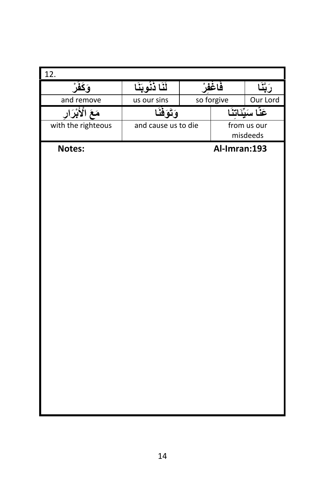| 12.                |                     |              |                         |
|--------------------|---------------------|--------------|-------------------------|
| <u>وَكَفُرْ</u>    | لَّنَا ذَنُوبَنَا   | فَاغْفُرْ    | رَبَّنَا                |
| and remove         | us our sins         | so forgive   | Our Lord                |
| مَعَ الْأَبْرَارِ  | وَتَوَفَّنَا        |              | عَنَّا سَيِّئَاتِنَا    |
| with the righteous | and cause us to die |              | from us our<br>misdeeds |
| Notes:             |                     | Al-Imran:193 |                         |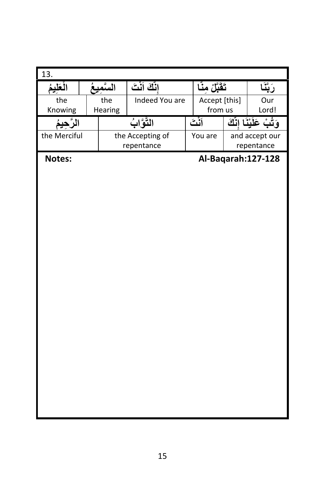| 13.          |           |                  |                  |               |                          |
|--------------|-----------|------------------|------------------|---------------|--------------------------|
| الْعَلِيمُ   | السنّميعُ | انَّكَ أَنْتَ    | تَقَبَّلْ مِنَّا |               | رَبَّذَ                  |
| the          | the       | Indeed You are   |                  | Accept [this] | Our                      |
| Knowing      | Hearing   |                  |                  | from us       | Lord!                    |
| الرَّحيمُ    |           | التَّوَّابُ      |                  | أثْثَ         | وَثُبْ عَلَيْنَا إِنَّكَ |
| the Merciful |           | the Accepting of |                  | You are       | and accept our           |
|              |           | repentance       |                  |               | repentance               |
| Notes:       |           |                  |                  |               | Al-Baqarah: 127-128      |
|              |           |                  |                  |               |                          |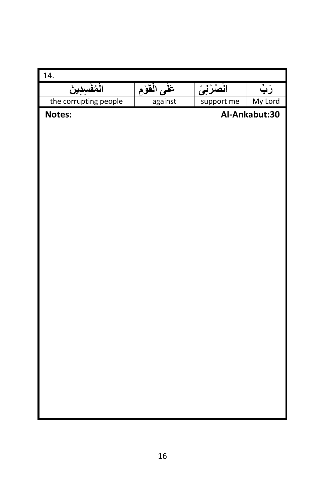| 14.                   |                 |             |               |
|-----------------------|-----------------|-------------|---------------|
| الْمُفْسِدِينَ        | عَلَى الْقَوْمِ | انْصُرْنِيْ | رَبِّ         |
| the corrupting people | against         | support me  | My Lord       |
| Notes:                |                 |             | Al-Ankabut:30 |
|                       |                 |             |               |
|                       |                 |             |               |
|                       |                 |             |               |
|                       |                 |             |               |
|                       |                 |             |               |
|                       |                 |             |               |
|                       |                 |             |               |
|                       |                 |             |               |
|                       |                 |             |               |
|                       |                 |             |               |
|                       |                 |             |               |
|                       |                 |             |               |
|                       |                 |             |               |
|                       |                 |             |               |
|                       |                 |             |               |
|                       |                 |             |               |
|                       |                 |             |               |
|                       |                 |             |               |
|                       |                 |             |               |
|                       |                 |             |               |
|                       |                 |             |               |
|                       |                 |             |               |
|                       |                 |             |               |
|                       |                 |             |               |
|                       |                 |             |               |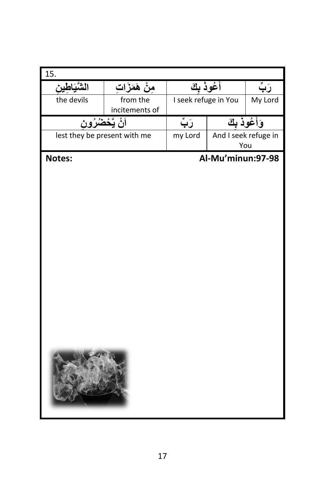| 15.                          |                |                      |                   |                      |
|------------------------------|----------------|----------------------|-------------------|----------------------|
| الشَّيَاطِينِ                | مِنْ هَمَزَاتِ | أَعُوذُ بِكَ         |                   | رَبِّ                |
| the devils                   | from the       | I seek refuge in You |                   | My Lord              |
|                              | incitements of |                      |                   |                      |
| اَنْ يَّحْضُرُون             |                | رَبٍّ                |                   | وَأَعُوذُ بِكَ       |
| lest they be present with me |                | my Lord              |                   | And I seek refuge in |
|                              |                |                      |                   | You                  |
| Notes:                       |                |                      | Al-Mu'minun:97-98 |                      |
|                              |                |                      |                   |                      |
|                              |                |                      |                   |                      |
|                              |                |                      |                   |                      |
|                              |                |                      |                   |                      |
|                              |                |                      |                   |                      |
|                              |                |                      |                   |                      |
|                              |                |                      |                   |                      |
|                              |                |                      |                   |                      |
|                              |                |                      |                   |                      |
|                              |                |                      |                   |                      |
|                              |                |                      |                   |                      |
|                              |                |                      |                   |                      |
|                              |                |                      |                   |                      |
|                              |                |                      |                   |                      |
|                              |                |                      |                   |                      |
|                              |                |                      |                   |                      |
|                              |                |                      |                   |                      |
|                              |                |                      |                   |                      |
|                              |                |                      |                   |                      |
|                              |                |                      |                   |                      |
|                              |                |                      |                   |                      |
|                              |                |                      |                   |                      |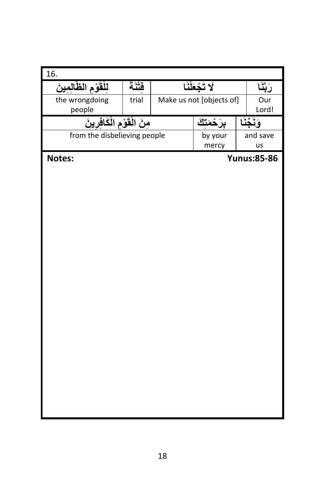| 16.                          |       |                          |                    |
|------------------------------|-------|--------------------------|--------------------|
| لِلْقَوْمِ الظَّالِمِينَ     | فتنة  | لا تَجْعَلْنَا           | رَبَّذَ            |
| the wrongdoing               | trial | Make us not [objects of] | Our                |
| people                       |       |                          | Lord!              |
| مِنَ الْقَوْمِ الْكَافِرِينَ |       | <u>ىرَ حْمَتْكَ</u>      | وَنَخّذَ           |
| from the disbelieving people |       | by your                  | and save           |
|                              |       | mercy                    | us                 |
| Notes:                       |       |                          | <b>Yunus:85-86</b> |
|                              |       |                          |                    |
|                              |       |                          |                    |
|                              |       |                          |                    |
|                              |       |                          |                    |
|                              |       |                          |                    |
|                              |       |                          |                    |
|                              |       |                          |                    |
|                              |       |                          |                    |
|                              |       |                          |                    |
|                              |       |                          |                    |
|                              |       |                          |                    |
|                              |       |                          |                    |
|                              |       |                          |                    |
|                              |       |                          |                    |
|                              |       |                          |                    |
|                              |       |                          |                    |
|                              |       |                          |                    |
|                              |       |                          |                    |
|                              |       |                          |                    |
|                              |       |                          |                    |
|                              |       |                          |                    |
|                              |       |                          |                    |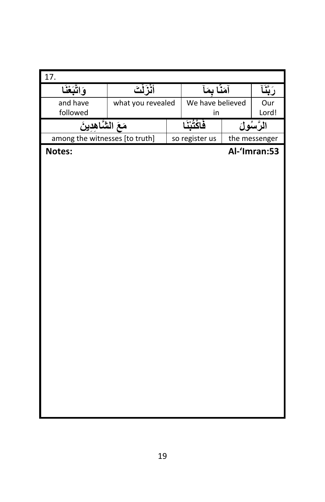| 17.                            |                   |                  |               |
|--------------------------------|-------------------|------------------|---------------|
| وَاتَّبَعْنَا                  | أنزلت             | آمَنَّا بِمَأ    | رَبَّنَآ      |
| and have                       | what you revealed | We have believed | Our           |
| followed                       |                   | in               | Lord!         |
| مَعَ الشَّاهِدِينَ             |                   | فاكْتُنْنَا      | الرَّسُولَ    |
| among the witnesses [to truth] |                   | so register us   | the messenger |
| Notes:                         |                   |                  | Al-'Imran:53  |
|                                |                   |                  |               |
|                                |                   |                  |               |
|                                |                   |                  |               |
|                                |                   |                  |               |
|                                |                   |                  |               |
|                                |                   |                  |               |
|                                |                   |                  |               |
|                                |                   |                  |               |
|                                |                   |                  |               |
|                                |                   |                  |               |
|                                |                   |                  |               |
|                                |                   |                  |               |
|                                |                   |                  |               |
|                                |                   |                  |               |
|                                |                   |                  |               |
|                                |                   |                  |               |
|                                |                   |                  |               |
|                                |                   |                  |               |
|                                |                   |                  |               |
|                                |                   |                  |               |
|                                |                   |                  |               |
|                                |                   |                  |               |
|                                |                   |                  |               |
|                                |                   |                  |               |
|                                |                   |                  |               |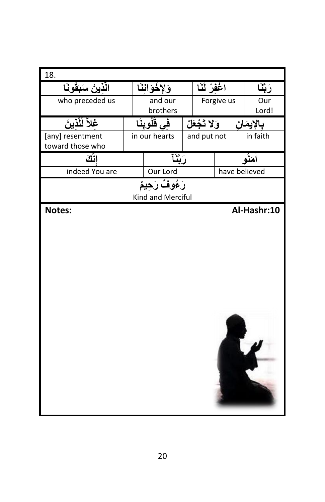| 18.                 |               |                   |               |            |               |
|---------------------|---------------|-------------------|---------------|------------|---------------|
| الّذينَ سَبَقُونَـا |               | وَلإِخْوَانِنَآ   | اغْفُلْ لَنَا |            | رَبَّذَ       |
| who preceded us     |               | and our           |               | Forgive us | Our           |
|                     |               | brothers          |               |            | Lord!         |
| غلاً لَلّذينَ       | فِی ڤَلُوبنَا |                   | وَلا تَجْعَلْ |            | بالإيمان      |
| [any] resentment    |               | in our hearts     | and put not   |            | in faith      |
| toward those who    |               |                   |               |            |               |
| انگ                 |               | رَبَّنَا          |               |            | أمَنْه        |
| indeed You are      |               | Our Lord          |               |            | have believed |
|                     |               | رَءُوفٌ رَحِيمٌ   |               |            |               |
|                     |               | Kind and Merciful |               |            |               |
| Notes:              |               |                   |               |            | Al-Hashr:10   |
|                     |               |                   |               |            |               |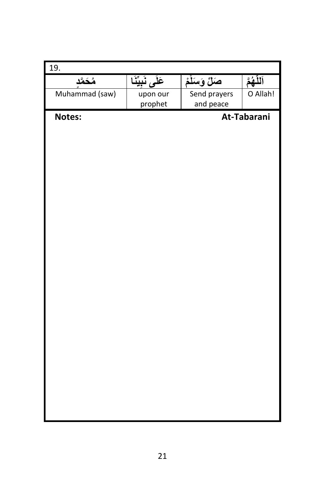| 19.            |                         |                           |             |
|----------------|-------------------------|---------------------------|-------------|
| مُحَمَّد       | <u>عَلَى</u> نَبِيِّنَا | صَلِّ وَسَلَّمْ           | اَللَّهُمَّ |
| Muhammad (saw) | upon our<br>prophet     | Send prayers<br>and peace | O Allah!    |
| Notes:         |                         |                           | At-Tabarani |
|                |                         |                           |             |
|                |                         |                           |             |
|                |                         |                           |             |
|                |                         |                           |             |
|                |                         |                           |             |
|                |                         |                           |             |
|                |                         |                           |             |
|                |                         |                           |             |
|                |                         |                           |             |
|                |                         |                           |             |
|                |                         |                           |             |
|                |                         |                           |             |
|                |                         |                           |             |
|                |                         |                           |             |
|                |                         |                           |             |
|                |                         |                           |             |
|                |                         |                           |             |
|                |                         |                           |             |
|                |                         |                           |             |
|                |                         |                           |             |
|                |                         |                           |             |
|                |                         |                           |             |
|                |                         |                           |             |
|                |                         |                           |             |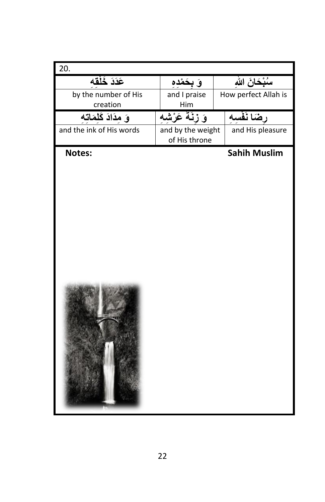| 20.                      |                                    |                      |
|--------------------------|------------------------------------|----------------------|
| عَدَدَ خَلْقه            | وَ بِحَمْدِهِ                      | سُبْحَانَ اللهِ      |
| by the number of His     | and I praise                       | How perfect Allah is |
| creation                 | Him                                |                      |
| وَ مِدَادَ كَلِمَاتَه    | وَ زِنَةَ عَرْشَه                  | رضَا نَفْسه          |
| and the ink of His words | and by the weight<br>of His throne | and His pleasure     |
| Notes:                   |                                    | <b>Sahih Muslim</b>  |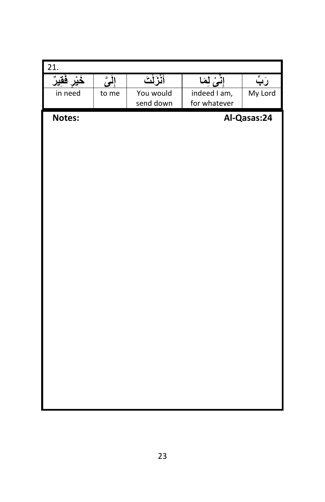| $\overline{21}$ . |         |            |               |             |
|-------------------|---------|------------|---------------|-------------|
| خَيْر فَقِيرٌ     | إِلَىَّ | أَنْزَلْتَ | إِنِّيْ لِمَا | رَبِّ       |
| in need           | to me   | You would  | indeed I am,  | My Lord     |
|                   |         | send down  | for whatever  |             |
| Notes:            |         |            |               | Al-Qasas:24 |
|                   |         |            |               |             |
|                   |         |            |               |             |
|                   |         |            |               |             |
|                   |         |            |               |             |
|                   |         |            |               |             |
|                   |         |            |               |             |
|                   |         |            |               |             |
|                   |         |            |               |             |
|                   |         |            |               |             |
|                   |         |            |               |             |
|                   |         |            |               |             |
|                   |         |            |               |             |
|                   |         |            |               |             |
|                   |         |            |               |             |
|                   |         |            |               |             |
|                   |         |            |               |             |
|                   |         |            |               |             |
|                   |         |            |               |             |
|                   |         |            |               |             |
|                   |         |            |               |             |
|                   |         |            |               |             |
|                   |         |            |               |             |
|                   |         |            |               |             |
|                   |         |            |               |             |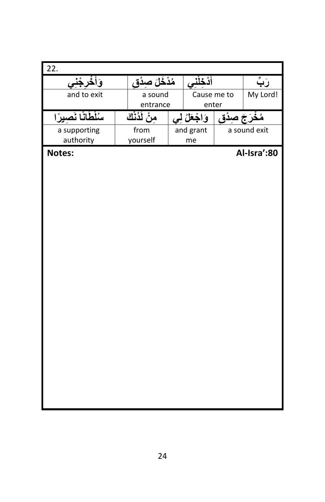| 22.                |                       |               |                |              |
|--------------------|-----------------------|---------------|----------------|--------------|
| وَأَخْرَجْنِ<br>ی  | <u>مُذْخَلَ صِدْق</u> | أَدْخِلْنِي   |                | رَبِّ        |
| and to exit        | a sound               | Cause me to   |                | My Lord!     |
|                    | entrance              | enter         |                |              |
| سُلْطَانًا نَصيرًا | منْ لَدُنْكَ          | وَاجْعَلْ لِي | مُغْرَجَ صِدْق |              |
| a supporting       | from                  | and grant     |                | a sound exit |
| authority          | yourself              | me            |                |              |
| Notes:             |                       |               |                | Al-Isra':80  |
|                    |                       |               |                |              |
|                    |                       |               |                |              |
|                    |                       |               |                |              |
|                    |                       |               |                |              |
|                    |                       |               |                |              |
|                    |                       |               |                |              |
|                    |                       |               |                |              |
|                    |                       |               |                |              |
|                    |                       |               |                |              |
|                    |                       |               |                |              |
|                    |                       |               |                |              |
|                    |                       |               |                |              |
|                    |                       |               |                |              |
|                    |                       |               |                |              |
|                    |                       |               |                |              |
|                    |                       |               |                |              |
|                    |                       |               |                |              |
|                    |                       |               |                |              |
|                    |                       |               |                |              |
|                    |                       |               |                |              |
|                    |                       |               |                |              |
|                    |                       |               |                |              |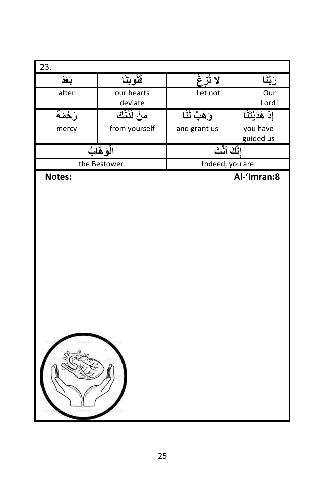| $\overline{23}$ . |               |                 |                               |
|-------------------|---------------|-----------------|-------------------------------|
| بَعْذَ            | فَلُوبَنَا    | لائزغ           | رَبَّذَ                       |
| after             | our hearts    | Let not         | Our                           |
|                   | deviate       |                 | Lord!                         |
| رَحْمَةَ          | منْ لَدُنْكَ  | وَهَبْ لَنَا    | <mark>إِذْ هَدَيْتَنَا</mark> |
| mercy             | from yourself | and grant us    | you have<br>guided us         |
|                   | الْوَهَّابُ   | إنَّكَ أَنْتَ   |                               |
|                   | the Bestower  | Indeed, you are |                               |
| Notes:            |               |                 | Al-'Imran:8                   |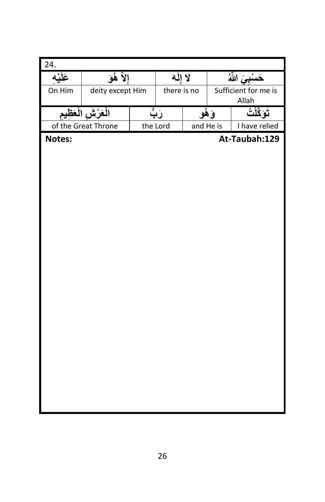| 24.     |                     |          |             |       |                               |  |
|---------|---------------------|----------|-------------|-------|-------------------------------|--|
| عَلَيْه | إلأ هُقَ            | لا إلَهَ |             |       | حَسْبِيَ اللَّهُ              |  |
| On Him  | deity except Him    |          | there is no |       | Sufficient for me is<br>Allah |  |
|         | الْعَرْش الْعَظِيم  | رَبُّ    |             | وَهُو | تَوَكَّلْتُ                   |  |
|         | of the Great Throne | the Lord | and He is   |       | I have relied                 |  |
| Notes:  |                     |          |             |       | At-Taubah:129                 |  |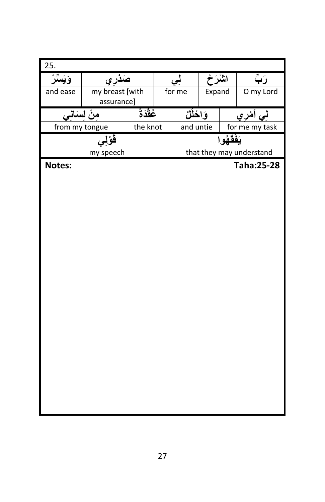| 25.      |                 |          |           |         |             |                          |  |  |
|----------|-----------------|----------|-----------|---------|-------------|--------------------------|--|--|
| ويس      | صَدَري          |          | بی        | اشْرَحْ |             | رَب                      |  |  |
| and ease | my breast [with |          | for me    | Expand  |             | O my Lord                |  |  |
|          | assurance]      |          |           |         |             |                          |  |  |
|          | منْ لسَانى      | عُقْدَةً | وَاخْلُلْ |         | لِي اَمْزِي |                          |  |  |
|          | from my tongue  | the knot | and untie |         |             | for me my task           |  |  |
|          | قو 1            |          |           |         | يَفْقَهُو ا |                          |  |  |
|          | my speech       |          |           |         |             | that they may understand |  |  |
| Notes:   |                 |          |           |         |             | <b>Taha:25-28</b>        |  |  |
|          |                 |          |           |         |             |                          |  |  |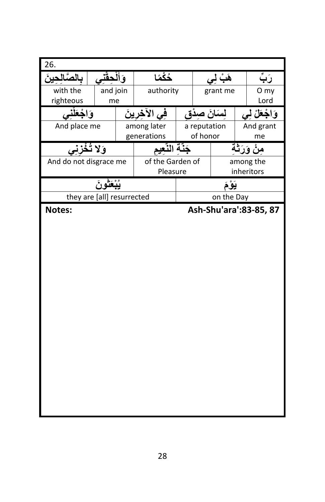| 26.                                                              |      |
|------------------------------------------------------------------|------|
| خُكْمًا<br>بالصَّالحينَ<br>هَبُ<br>وَال                          | رَبَ |
| with the<br>and join<br>authority<br>grant me                    | O my |
| righteous<br>me                                                  | Lord |
| وَاجْعَلْ لِي<br>فِي الأَخِرِينَ<br>وَاحْعَلْنَا<br>لسَانَ صِدَق |      |
| And grant<br>And place me<br>among later<br>a reputation         |      |
| of honor<br>generations<br>me                                    |      |
| وَلا تُـ<br>حَنّة النّعبم<br>فزنی<br>من وَرَڌ                    |      |
| And do not disgrace me<br>among the<br>of the Garden of          |      |
| Pleasure<br>inheritors                                           |      |
| يَوْمَ                                                           |      |
| they are [all] resurrected<br>on the Day                         |      |
| Ash-Shu'ara': 83-85, 87<br>Notes:                                |      |
|                                                                  |      |
|                                                                  |      |
|                                                                  |      |
|                                                                  |      |
|                                                                  |      |
|                                                                  |      |
|                                                                  |      |
|                                                                  |      |
|                                                                  |      |
|                                                                  |      |
|                                                                  |      |
|                                                                  |      |
|                                                                  |      |
|                                                                  |      |
|                                                                  |      |
|                                                                  |      |
|                                                                  |      |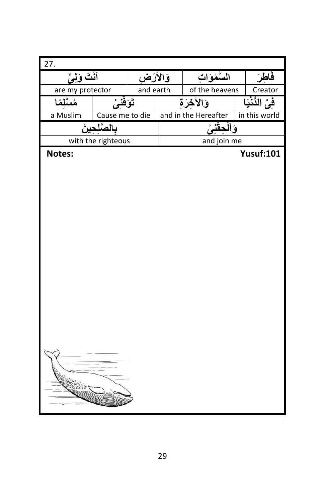| $\overline{27}$ . |                    |                     |                |                      |         |                  |
|-------------------|--------------------|---------------------|----------------|----------------------|---------|------------------|
| أَنْتَ وَلِيِّ    |                    | وَالأَرْ <b>ض</b> ِ |                | المتعلوات            |         | فاطرَ            |
| are my protector  | and earth          |                     | of the heavens |                      | Creator |                  |
| مُسْلَمًا         | تَوَفَّنِيُّ       |                     |                | وَالآخِرَةِ          |         | فِي الدُّنْيَا   |
| a Muslim          | Cause me to die    |                     |                | and in the Hereafter |         | in this world    |
|                   | بالصُّلحينَ        |                     |                | وَالْحِقْنِيْ        |         |                  |
|                   | with the righteous |                     |                | and join me          |         |                  |
| Notes:            |                    |                     |                |                      |         | <b>Yusuf:101</b> |
|                   |                    |                     |                |                      |         |                  |
|                   |                    |                     |                |                      |         |                  |
|                   |                    |                     |                |                      |         |                  |
|                   |                    |                     |                |                      |         |                  |
|                   |                    |                     |                |                      |         |                  |
|                   |                    |                     |                |                      |         |                  |
|                   |                    |                     |                |                      |         |                  |
|                   |                    |                     |                |                      |         |                  |
|                   |                    |                     |                |                      |         |                  |
|                   |                    |                     |                |                      |         |                  |
|                   |                    |                     |                |                      |         |                  |
|                   |                    |                     |                |                      |         |                  |
|                   |                    |                     |                |                      |         |                  |
|                   |                    |                     |                |                      |         |                  |
|                   |                    |                     |                |                      |         |                  |
|                   |                    |                     |                |                      |         |                  |
|                   |                    |                     |                |                      |         |                  |
|                   |                    |                     |                |                      |         |                  |
|                   |                    |                     |                |                      |         |                  |
| <b>UDOOD</b>      |                    |                     |                |                      |         |                  |
|                   |                    |                     |                |                      |         |                  |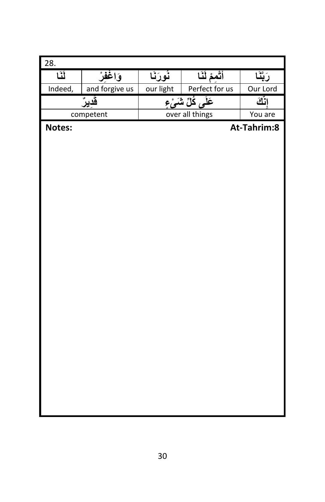| 28.     |                |           |                      |             |  |  |
|---------|----------------|-----------|----------------------|-------------|--|--|
| نَنَا   | وَاغْفِرْ      | نُورَنَا  | أَتُمِمْ لَنَا       | رَبَّنَا    |  |  |
| Indeed, | and forgive us | our light | Perfect for us       | Our Lord    |  |  |
|         | قَديرٌ         |           | عَلَى كُلِّ شَمَىٰءٍ | اثك         |  |  |
|         | competent      |           | over all things      |             |  |  |
| Notes:  |                |           |                      | At-Tahrim:8 |  |  |
|         |                |           |                      |             |  |  |
|         |                |           |                      |             |  |  |
|         |                |           |                      |             |  |  |
|         |                |           |                      |             |  |  |
|         |                |           |                      |             |  |  |
|         |                |           |                      |             |  |  |
|         |                |           |                      |             |  |  |
|         |                |           |                      |             |  |  |
|         |                |           |                      |             |  |  |
|         |                |           |                      |             |  |  |
|         |                |           |                      |             |  |  |
|         |                |           |                      |             |  |  |
|         |                |           |                      |             |  |  |
|         |                |           |                      |             |  |  |
|         |                |           |                      |             |  |  |
|         |                |           |                      |             |  |  |
|         |                |           |                      |             |  |  |
|         |                |           |                      |             |  |  |
|         |                |           |                      |             |  |  |
|         |                |           |                      |             |  |  |
|         |                |           |                      |             |  |  |
|         |                |           |                      |             |  |  |
|         |                |           |                      |             |  |  |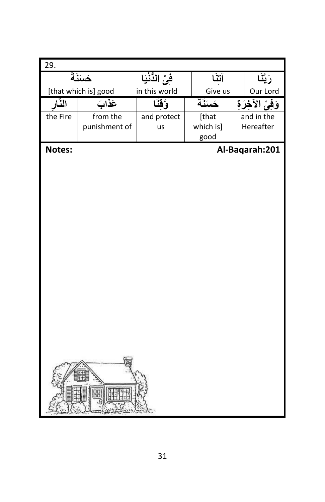| 29.                  |               |               |                  |  |                   |  |                  |
|----------------------|---------------|---------------|------------------|--|-------------------|--|------------------|
| حَسَنَةً             |               |               | فِيُّ الدُّنْيَا |  | آتنا              |  |                  |
| [that which is] good |               | in this world |                  |  | Give us           |  | Our Lord         |
| النّار               | عَذَابَ       |               | وٌقَنَا          |  | حَسَنَةً          |  | وَفَىٰ الآخِرَةِ |
| the Fire             | from the      |               | and protect      |  | [that             |  | and in the       |
|                      | punishment of |               | us               |  | which is]<br>good |  | Hereafter        |
|                      |               |               |                  |  |                   |  |                  |
| Notes:               |               |               |                  |  |                   |  | Al-Baqarah:201   |
|                      |               |               |                  |  |                   |  |                  |
|                      |               |               |                  |  |                   |  |                  |
|                      |               |               |                  |  |                   |  |                  |
|                      |               |               |                  |  |                   |  |                  |
|                      |               |               |                  |  |                   |  |                  |
|                      |               |               |                  |  |                   |  |                  |
|                      |               |               |                  |  |                   |  |                  |
|                      |               |               |                  |  |                   |  |                  |
|                      |               |               |                  |  |                   |  |                  |
|                      |               |               |                  |  |                   |  |                  |
|                      |               |               |                  |  |                   |  |                  |
|                      |               |               |                  |  |                   |  |                  |
|                      |               |               |                  |  |                   |  |                  |
|                      |               |               |                  |  |                   |  |                  |
|                      |               |               |                  |  |                   |  |                  |
|                      |               |               |                  |  |                   |  |                  |
|                      |               |               |                  |  |                   |  |                  |
|                      |               |               |                  |  |                   |  |                  |
|                      | 韶             |               |                  |  |                   |  |                  |
|                      |               |               |                  |  |                   |  |                  |
|                      |               |               |                  |  |                   |  |                  |